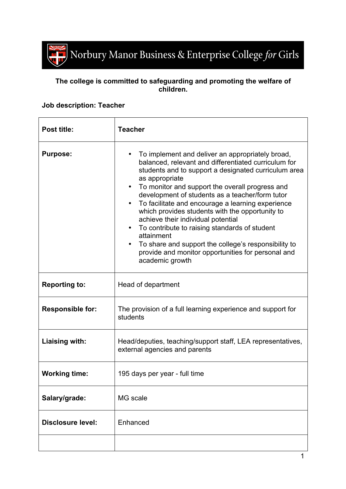

## **The college is committed to safeguarding and promoting the welfare of children.**

## **Job description: Teacher**

| Post title:              | <b>Teacher</b>                                                                                                                                                                                                                                                                                                                                                                                                                                                                                                                                                                                                                                                                |
|--------------------------|-------------------------------------------------------------------------------------------------------------------------------------------------------------------------------------------------------------------------------------------------------------------------------------------------------------------------------------------------------------------------------------------------------------------------------------------------------------------------------------------------------------------------------------------------------------------------------------------------------------------------------------------------------------------------------|
| <b>Purpose:</b>          | To implement and deliver an appropriately broad,<br>balanced, relevant and differentiated curriculum for<br>students and to support a designated curriculum area<br>as appropriate<br>To monitor and support the overall progress and<br>$\bullet$<br>development of students as a teacher/form tutor<br>To facilitate and encourage a learning experience<br>$\bullet$<br>which provides students with the opportunity to<br>achieve their individual potential<br>To contribute to raising standards of student<br>$\bullet$<br>attainment<br>To share and support the college's responsibility to<br>provide and monitor opportunities for personal and<br>academic growth |
| <b>Reporting to:</b>     | Head of department                                                                                                                                                                                                                                                                                                                                                                                                                                                                                                                                                                                                                                                            |
| <b>Responsible for:</b>  | The provision of a full learning experience and support for<br>students                                                                                                                                                                                                                                                                                                                                                                                                                                                                                                                                                                                                       |
| Liaising with:           | Head/deputies, teaching/support staff, LEA representatives,<br>external agencies and parents                                                                                                                                                                                                                                                                                                                                                                                                                                                                                                                                                                                  |
| <b>Working time:</b>     | 195 days per year - full time                                                                                                                                                                                                                                                                                                                                                                                                                                                                                                                                                                                                                                                 |
| Salary/grade:            | MG scale                                                                                                                                                                                                                                                                                                                                                                                                                                                                                                                                                                                                                                                                      |
| <b>Disclosure level:</b> | Enhanced                                                                                                                                                                                                                                                                                                                                                                                                                                                                                                                                                                                                                                                                      |
|                          |                                                                                                                                                                                                                                                                                                                                                                                                                                                                                                                                                                                                                                                                               |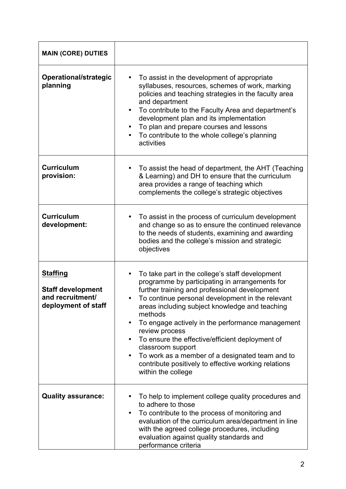| <b>MAIN (CORE) DUTIES</b>                                                              |                                                                                                                                                                                                                                                                                                                                                                                                                                                                                                                                                                 |
|----------------------------------------------------------------------------------------|-----------------------------------------------------------------------------------------------------------------------------------------------------------------------------------------------------------------------------------------------------------------------------------------------------------------------------------------------------------------------------------------------------------------------------------------------------------------------------------------------------------------------------------------------------------------|
| Operational/strategic<br>planning                                                      | To assist in the development of appropriate<br>syllabuses, resources, schemes of work, marking<br>policies and teaching strategies in the faculty area<br>and department<br>To contribute to the Faculty Area and department's<br>٠<br>development plan and its implementation<br>To plan and prepare courses and lessons<br>To contribute to the whole college's planning<br>activities                                                                                                                                                                        |
| <b>Curriculum</b><br>provision:                                                        | To assist the head of department, the AHT (Teaching<br>& Learning) and DH to ensure that the curriculum<br>area provides a range of teaching which<br>complements the college's strategic objectives                                                                                                                                                                                                                                                                                                                                                            |
| <b>Curriculum</b><br>development:                                                      | To assist in the process of curriculum development<br>and change so as to ensure the continued relevance<br>to the needs of students, examining and awarding<br>bodies and the college's mission and strategic<br>objectives                                                                                                                                                                                                                                                                                                                                    |
| <b>Staffing</b><br><b>Staff development</b><br>and recruitment/<br>deployment of staff | To take part in the college's staff development<br>programme by participating in arrangements for<br>further training and professional development<br>To continue personal development in the relevant<br>areas including subject knowledge and teaching<br>methods<br>To engage actively in the performance management<br>$\bullet$<br>review process<br>To ensure the effective/efficient deployment of<br>classroom support<br>To work as a member of a designated team and to<br>contribute positively to effective working relations<br>within the college |
| <b>Quality assurance:</b>                                                              | To help to implement college quality procedures and<br>to adhere to those<br>To contribute to the process of monitoring and<br>٠<br>evaluation of the curriculum area/department in line<br>with the agreed college procedures, including<br>evaluation against quality standards and<br>performance criteria                                                                                                                                                                                                                                                   |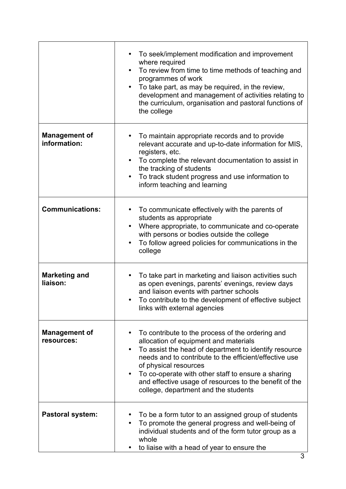|                                      | To seek/implement modification and improvement<br>where required<br>To review from time to time methods of teaching and<br>programmes of work<br>To take part, as may be required, in the review,<br>development and management of activities relating to<br>the curriculum, organisation and pastoral functions of<br>the college                                                            |
|--------------------------------------|-----------------------------------------------------------------------------------------------------------------------------------------------------------------------------------------------------------------------------------------------------------------------------------------------------------------------------------------------------------------------------------------------|
| <b>Management of</b><br>information: | To maintain appropriate records and to provide<br>relevant accurate and up-to-date information for MIS,<br>registers, etc.<br>To complete the relevant documentation to assist in<br>$\bullet$<br>the tracking of students<br>To track student progress and use information to<br>٠<br>inform teaching and learning                                                                           |
| <b>Communications:</b>               | To communicate effectively with the parents of<br>students as appropriate<br>Where appropriate, to communicate and co-operate<br>$\bullet$<br>with persons or bodies outside the college<br>To follow agreed policies for communications in the<br>college                                                                                                                                    |
| <b>Marketing and</b><br>liaison:     | To take part in marketing and liaison activities such<br>as open evenings, parents' evenings, review days<br>and liaison events with partner schools<br>To contribute to the development of effective subject<br>٠<br>links with external agencies                                                                                                                                            |
| <b>Management of</b><br>resources:   | To contribute to the process of the ordering and<br>allocation of equipment and materials<br>To assist the head of department to identify resource<br>needs and to contribute to the efficient/effective use<br>of physical resources<br>To co-operate with other staff to ensure a sharing<br>and effective usage of resources to the benefit of the<br>college, department and the students |
| <b>Pastoral system:</b>              | To be a form tutor to an assigned group of students<br>To promote the general progress and well-being of<br>individual students and of the form tutor group as a<br>whole<br>to liaise with a head of year to ensure the                                                                                                                                                                      |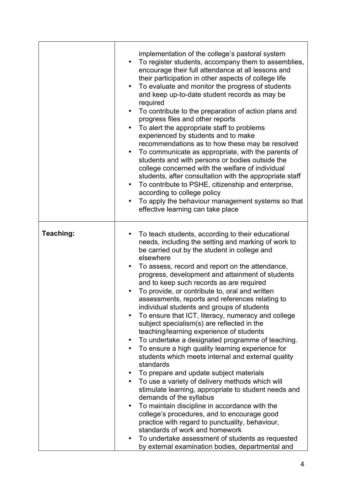|           | implementation of the college's pastoral system<br>To register students, accompany them to assemblies,<br>encourage their full attendance at all lessons and<br>their participation in other aspects of college life<br>To evaluate and monitor the progress of students<br>$\bullet$<br>and keep up-to-date student records as may be<br>required<br>To contribute to the preparation of action plans and<br>$\bullet$<br>progress files and other reports<br>To alert the appropriate staff to problems<br>experienced by students and to make<br>recommendations as to how these may be resolved<br>To communicate as appropriate, with the parents of<br>$\bullet$<br>students and with persons or bodies outside the<br>college concerned with the welfare of individual<br>students, after consultation with the appropriate staff<br>To contribute to PSHE, citizenship and enterprise,<br>$\bullet$<br>according to college policy<br>To apply the behaviour management systems so that<br>$\bullet$<br>effective learning can take place                                                                                                                                                                                                                                         |
|-----------|-------------------------------------------------------------------------------------------------------------------------------------------------------------------------------------------------------------------------------------------------------------------------------------------------------------------------------------------------------------------------------------------------------------------------------------------------------------------------------------------------------------------------------------------------------------------------------------------------------------------------------------------------------------------------------------------------------------------------------------------------------------------------------------------------------------------------------------------------------------------------------------------------------------------------------------------------------------------------------------------------------------------------------------------------------------------------------------------------------------------------------------------------------------------------------------------------------------------------------------------------------------------------------------------|
| Teaching: | To teach students, according to their educational<br>needs, including the setting and marking of work to<br>be carried out by the student in college and<br>elsewhere<br>To assess, record and report on the attendance,<br>٠<br>progress, development and attainment of students<br>and to keep such records as are required<br>To provide, or contribute to, oral and written<br>assessments, reports and references relating to<br>individual students and groups of students<br>To ensure that ICT, literacy, numeracy and college<br>subject specialism(s) are reflected in the<br>teaching/learning experience of students<br>To undertake a designated programme of teaching.<br>To ensure a high quality learning experience for<br>students which meets internal and external quality<br>standards<br>To prepare and update subject materials<br>To use a variety of delivery methods which will<br>stimulate learning, appropriate to student needs and<br>demands of the syllabus<br>To maintain discipline in accordance with the<br>college's procedures, and to encourage good<br>practice with regard to punctuality, behaviour,<br>standards of work and homework<br>To undertake assessment of students as requested<br>by external examination bodies, departmental and |